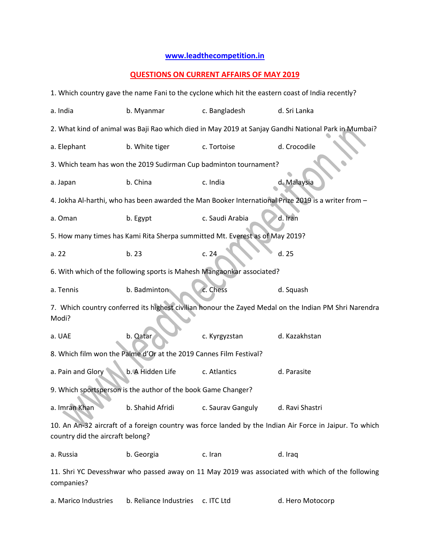## **[www.leadthecompetition.in](http://www.leadthecompetition.in/)**

## **QUESTIONS ON CURRENT AFFAIRS OF MAY 2019**

| 1. Which country gave the name Fani to the cyclone which hit the eastern coast of India recently?                                           |                  |                   |                                                                                                     |  |  |  |
|---------------------------------------------------------------------------------------------------------------------------------------------|------------------|-------------------|-----------------------------------------------------------------------------------------------------|--|--|--|
| a. India                                                                                                                                    | b. Myanmar       | c. Bangladesh     | d. Sri Lanka                                                                                        |  |  |  |
| 2. What kind of animal was Baji Rao which died in May 2019 at Sanjay Gandhi National Park in Mumbai?                                        |                  |                   |                                                                                                     |  |  |  |
| a. Elephant                                                                                                                                 | b. White tiger   | c. Tortoise       | d. Crocodile                                                                                        |  |  |  |
| 3. Which team has won the 2019 Sudirman Cup badminton tournament?                                                                           |                  |                   |                                                                                                     |  |  |  |
| a. Japan                                                                                                                                    | b. China         | c. India          | d. Malaysia                                                                                         |  |  |  |
|                                                                                                                                             |                  |                   | 4. Jokha Al-harthi, who has been awarded the Man Booker International Prize 2019 is a writer from - |  |  |  |
| a. Oman                                                                                                                                     | b. Egypt         | c. Saudi Arabia   | d. Iran                                                                                             |  |  |  |
| 5. How many times has Kami Rita Sherpa summitted Mt. Everest as of May 2019?                                                                |                  |                   |                                                                                                     |  |  |  |
| a.22                                                                                                                                        | b.23             | c.24              | d. 25                                                                                               |  |  |  |
| 6. With which of the following sports is Mahesh Mangaonkar associated?                                                                      |                  |                   |                                                                                                     |  |  |  |
| a. Tennis                                                                                                                                   | b. Badminton     | c. Chess          | d. Squash                                                                                           |  |  |  |
| 7. Which country conferred its highest civilian honour the Zayed Medal on the Indian PM Shri Narendra<br>Modi?                              |                  |                   |                                                                                                     |  |  |  |
| a. UAE                                                                                                                                      | b. Qatar         | c. Kyrgyzstan     | d. Kazakhstan                                                                                       |  |  |  |
| 8. Which film won the Palme d'Or at the 2019 Cannes Film Festival?                                                                          |                  |                   |                                                                                                     |  |  |  |
| a. Pain and Glory                                                                                                                           | b. A Hidden Life | c. Atlantics      | d. Parasite                                                                                         |  |  |  |
| 9. Which sportsperson is the author of the book Game Changer?                                                                               |                  |                   |                                                                                                     |  |  |  |
| a. Imran Khan                                                                                                                               | b. Shahid Afridi | c. Saurav Ganguly | d. Ravi Shastri                                                                                     |  |  |  |
| 10. An An-32 aircraft of a foreign country was force landed by the Indian Air Force in Jaipur. To which<br>country did the aircraft belong? |                  |                   |                                                                                                     |  |  |  |
| a. Russia                                                                                                                                   | b. Georgia       | c. Iran           | d. Iraq                                                                                             |  |  |  |
| 11. Shri YC Devesshwar who passed away on 11 May 2019 was associated with which of the following<br>companies?                              |                  |                   |                                                                                                     |  |  |  |

a. Marico Industries b. Reliance Industries c. ITC Ltd d. Hero Motocorp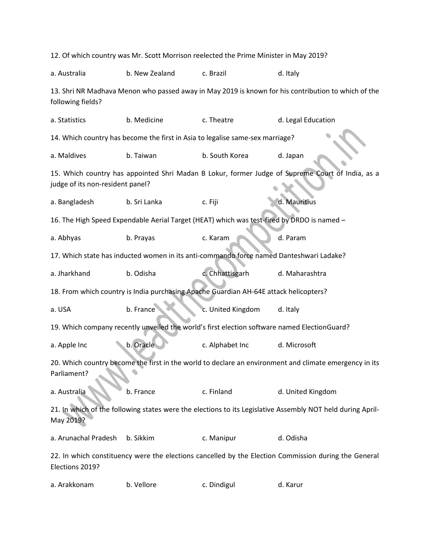| 12. Of which country was Mr. Scott Morrison reelected the Prime Minister in May 2019?                                    |                |                                                                                            |                                                                                                  |  |  |
|--------------------------------------------------------------------------------------------------------------------------|----------------|--------------------------------------------------------------------------------------------|--------------------------------------------------------------------------------------------------|--|--|
| a. Australia                                                                                                             | b. New Zealand | c. Brazil                                                                                  | d. Italy                                                                                         |  |  |
| 13. Shri NR Madhava Menon who passed away in May 2019 is known for his contribution to which of the<br>following fields? |                |                                                                                            |                                                                                                  |  |  |
| a. Statistics                                                                                                            | b. Medicine    | c. Theatre                                                                                 | d. Legal Education                                                                               |  |  |
| 14. Which country has become the first in Asia to legalise same-sex marriage?                                            |                |                                                                                            |                                                                                                  |  |  |
| a. Maldives                                                                                                              | b. Taiwan      | b. South Korea                                                                             | d. Japan                                                                                         |  |  |
| judge of its non-resident panel?                                                                                         |                |                                                                                            | 15. Which country has appointed Shri Madan B Lokur, former Judge of Supreme Court of India, as a |  |  |
| a. Bangladesh                                                                                                            | b. Sri Lanka   | c. Fiji                                                                                    | d. Mauritius                                                                                     |  |  |
|                                                                                                                          |                | 16. The High Speed Expendable Aerial Target (HEAT) which was test-fired by DRDO is named - |                                                                                                  |  |  |
| a. Abhyas                                                                                                                | b. Prayas      | c. Karam                                                                                   | d. Param                                                                                         |  |  |
| 17. Which state has inducted women in its anti-commando force named Danteshwari Ladake?                                  |                |                                                                                            |                                                                                                  |  |  |
| a. Jharkhand                                                                                                             | b. Odisha      | c. Chhattisgarh                                                                            | d. Maharashtra                                                                                   |  |  |
| 18. From which country is India purchasing Apache Guardian AH-64E attack helicopters?                                    |                |                                                                                            |                                                                                                  |  |  |
| a. USA                                                                                                                   | b. France      | c. United Kingdom                                                                          | d. Italy                                                                                         |  |  |
| 19. Which company recently unveiled the world's first election software named ElectionGuard?                             |                |                                                                                            |                                                                                                  |  |  |
| a. Apple Inc                                                                                                             | b. Oracle      | c. Alphabet Inc                                                                            | d. Microsoft                                                                                     |  |  |
| 20. Which country become the first in the world to declare an environment and climate emergency in its<br>Parliament?    |                |                                                                                            |                                                                                                  |  |  |
| a. Australia                                                                                                             | b. France      | c. Finland                                                                                 | d. United Kingdom                                                                                |  |  |
| 21. In which of the following states were the elections to its Legislative Assembly NOT held during April-<br>May 2019?  |                |                                                                                            |                                                                                                  |  |  |
| a. Arunachal Pradesh                                                                                                     | b. Sikkim      | c. Manipur                                                                                 | d. Odisha                                                                                        |  |  |
| 22. In which constituency were the elections cancelled by the Election Commission during the General<br>Elections 2019?  |                |                                                                                            |                                                                                                  |  |  |
| a. Arakkonam                                                                                                             | b. Vellore     | c. Dindigul                                                                                | d. Karur                                                                                         |  |  |